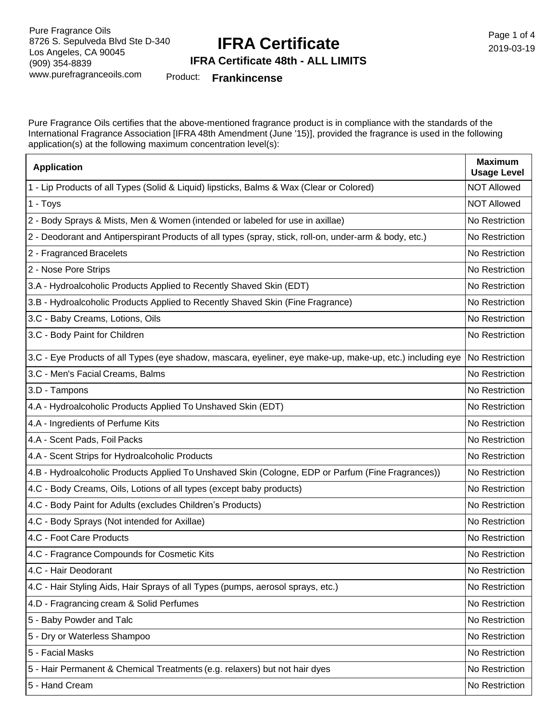## **IFRA Certificate**

Page 1 of 4 2019-03-19

#### **IFRA Certificate 48th - ALL LIMITS**

Product: **Frankincense**

Pure Fragrance Oils certifies that the above-mentioned fragrance product is in compliance with the standards of the International Fragrance Association [IFRA 48th Amendment (June '15)], provided the fragrance is used in the following application(s) at the following maximum concentration level(s):

| <b>Application</b>                                                                                        | <b>Maximum</b><br><b>Usage Level</b> |
|-----------------------------------------------------------------------------------------------------------|--------------------------------------|
| 1 - Lip Products of all Types (Solid & Liquid) lipsticks, Balms & Wax (Clear or Colored)                  | <b>NOT Allowed</b>                   |
| 1 - Toys                                                                                                  | <b>NOT Allowed</b>                   |
| 2 - Body Sprays & Mists, Men & Women (intended or labeled for use in axillae)                             | No Restriction                       |
| 2 - Deodorant and Antiperspirant Products of all types (spray, stick, roll-on, under-arm & body, etc.)    | No Restriction                       |
| 2 - Fragranced Bracelets                                                                                  | No Restriction                       |
| 2 - Nose Pore Strips                                                                                      | No Restriction                       |
| 3.A - Hydroalcoholic Products Applied to Recently Shaved Skin (EDT)                                       | No Restriction                       |
| 3.B - Hydroalcoholic Products Applied to Recently Shaved Skin (Fine Fragrance)                            | No Restriction                       |
| 3.C - Baby Creams, Lotions, Oils                                                                          | No Restriction                       |
| 3.C - Body Paint for Children                                                                             | No Restriction                       |
| 3.C - Eye Products of all Types (eye shadow, mascara, eyeliner, eye make-up, make-up, etc.) including eye | No Restriction                       |
| 3.C - Men's Facial Creams, Balms                                                                          | No Restriction                       |
| 3.D - Tampons                                                                                             | No Restriction                       |
| 4.A - Hydroalcoholic Products Applied To Unshaved Skin (EDT)                                              | No Restriction                       |
| 4.A - Ingredients of Perfume Kits                                                                         | No Restriction                       |
| 4.A - Scent Pads, Foil Packs                                                                              | No Restriction                       |
| 4.A - Scent Strips for Hydroalcoholic Products                                                            | No Restriction                       |
| 4.B - Hydroalcoholic Products Applied To Unshaved Skin (Cologne, EDP or Parfum (Fine Fragrances))         | No Restriction                       |
| 4.C - Body Creams, Oils, Lotions of all types (except baby products)                                      | No Restriction                       |
| 4.C - Body Paint for Adults (excludes Children's Products)                                                | No Restriction                       |
| 4.C - Body Sprays (Not intended for Axillae)                                                              | No Restriction                       |
| 4.C - Foot Care Products                                                                                  | No Restriction                       |
| 4.C - Fragrance Compounds for Cosmetic Kits                                                               | No Restriction                       |
| 4.C - Hair Deodorant                                                                                      | No Restriction                       |
| 4.C - Hair Styling Aids, Hair Sprays of all Types (pumps, aerosol sprays, etc.)                           | No Restriction                       |
| 4.D - Fragrancing cream & Solid Perfumes                                                                  | No Restriction                       |
| 5 - Baby Powder and Talc                                                                                  | No Restriction                       |
| 5 - Dry or Waterless Shampoo                                                                              | No Restriction                       |
| 5 - Facial Masks                                                                                          | No Restriction                       |
| 5 - Hair Permanent & Chemical Treatments (e.g. relaxers) but not hair dyes                                | No Restriction                       |
| 5 - Hand Cream                                                                                            | No Restriction                       |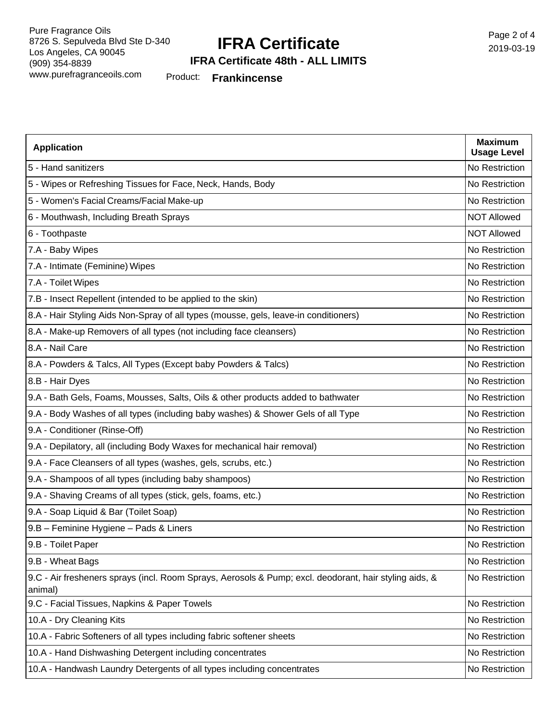### **IFRA Certificate**

Page 2 of 4 2019-03-19

#### **IFRA Certificate 48th - ALL LIMITS**

Product: **Frankincense**

| <b>Application</b>                                                                                                | <b>Maximum</b><br><b>Usage Level</b> |
|-------------------------------------------------------------------------------------------------------------------|--------------------------------------|
| 5 - Hand sanitizers                                                                                               | No Restriction                       |
| 5 - Wipes or Refreshing Tissues for Face, Neck, Hands, Body                                                       | No Restriction                       |
| 5 - Women's Facial Creams/Facial Make-up                                                                          | No Restriction                       |
| 6 - Mouthwash, Including Breath Sprays                                                                            | <b>NOT Allowed</b>                   |
| 6 - Toothpaste                                                                                                    | <b>NOT Allowed</b>                   |
| 7.A - Baby Wipes                                                                                                  | No Restriction                       |
| 7.A - Intimate (Feminine) Wipes                                                                                   | No Restriction                       |
| 7.A - Toilet Wipes                                                                                                | No Restriction                       |
| 7.B - Insect Repellent (intended to be applied to the skin)                                                       | No Restriction                       |
| 8.A - Hair Styling Aids Non-Spray of all types (mousse, gels, leave-in conditioners)                              | No Restriction                       |
| 8.A - Make-up Removers of all types (not including face cleansers)                                                | No Restriction                       |
| 8.A - Nail Care                                                                                                   | No Restriction                       |
| 8.A - Powders & Talcs, All Types (Except baby Powders & Talcs)                                                    | No Restriction                       |
| 8.B - Hair Dyes                                                                                                   | No Restriction                       |
| 9.A - Bath Gels, Foams, Mousses, Salts, Oils & other products added to bathwater                                  | No Restriction                       |
| 9.A - Body Washes of all types (including baby washes) & Shower Gels of all Type                                  | No Restriction                       |
| 9.A - Conditioner (Rinse-Off)                                                                                     | No Restriction                       |
| 9.A - Depilatory, all (including Body Waxes for mechanical hair removal)                                          | No Restriction                       |
| 9.A - Face Cleansers of all types (washes, gels, scrubs, etc.)                                                    | No Restriction                       |
| 9.A - Shampoos of all types (including baby shampoos)                                                             | No Restriction                       |
| 9.A - Shaving Creams of all types (stick, gels, foams, etc.)                                                      | No Restriction                       |
| 9.A - Soap Liquid & Bar (Toilet Soap)                                                                             | No Restriction                       |
| 9.B - Feminine Hygiene - Pads & Liners                                                                            | No Restriction                       |
| 9.B - Toilet Paper                                                                                                | No Restriction                       |
| 9.B - Wheat Bags                                                                                                  | No Restriction                       |
| 9.C - Air fresheners sprays (incl. Room Sprays, Aerosols & Pump; excl. deodorant, hair styling aids, &<br>animal) | No Restriction                       |
| 9.C - Facial Tissues, Napkins & Paper Towels                                                                      | No Restriction                       |
| 10.A - Dry Cleaning Kits                                                                                          | No Restriction                       |
| 10.A - Fabric Softeners of all types including fabric softener sheets                                             | No Restriction                       |
| 10.A - Hand Dishwashing Detergent including concentrates                                                          | No Restriction                       |
| 10.A - Handwash Laundry Detergents of all types including concentrates                                            | No Restriction                       |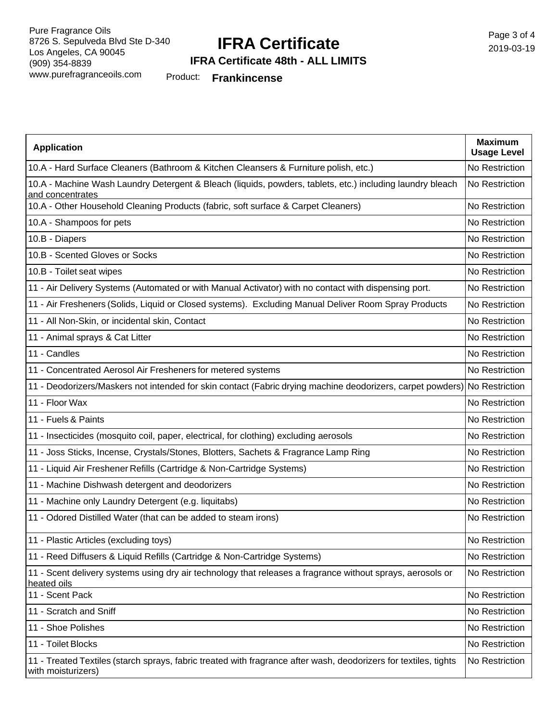## **IFRA Certificate**

### **IFRA Certificate 48th - ALL LIMITS**

Product: **Frankincense**

| <b>Application</b>                                                                                                                     | <b>Maximum</b><br><b>Usage Level</b> |
|----------------------------------------------------------------------------------------------------------------------------------------|--------------------------------------|
| 10.A - Hard Surface Cleaners (Bathroom & Kitchen Cleansers & Furniture polish, etc.)                                                   | No Restriction                       |
| 10.A - Machine Wash Laundry Detergent & Bleach (liquids, powders, tablets, etc.) including laundry bleach<br>and concentrates          | No Restriction                       |
| 10.A - Other Household Cleaning Products (fabric, soft surface & Carpet Cleaners)                                                      | No Restriction                       |
| 10.A - Shampoos for pets                                                                                                               | No Restriction                       |
| 10.B - Diapers                                                                                                                         | No Restriction                       |
| 10.B - Scented Gloves or Socks                                                                                                         | No Restriction                       |
| 10.B - Toilet seat wipes                                                                                                               | No Restriction                       |
| 11 - Air Delivery Systems (Automated or with Manual Activator) with no contact with dispensing port.                                   | No Restriction                       |
| 11 - Air Fresheners (Solids, Liquid or Closed systems). Excluding Manual Deliver Room Spray Products                                   | No Restriction                       |
| 11 - All Non-Skin, or incidental skin, Contact                                                                                         | No Restriction                       |
| 11 - Animal sprays & Cat Litter                                                                                                        | No Restriction                       |
| 11 - Candles                                                                                                                           | No Restriction                       |
| 11 - Concentrated Aerosol Air Fresheners for metered systems                                                                           | No Restriction                       |
| 11 - Deodorizers/Maskers not intended for skin contact (Fabric drying machine deodorizers, carpet powders) No Restriction              |                                      |
| 11 - Floor Wax                                                                                                                         | No Restriction                       |
| 11 - Fuels & Paints                                                                                                                    | No Restriction                       |
| 11 - Insecticides (mosquito coil, paper, electrical, for clothing) excluding aerosols                                                  | No Restriction                       |
| 11 - Joss Sticks, Incense, Crystals/Stones, Blotters, Sachets & Fragrance Lamp Ring                                                    | No Restriction                       |
| 11 - Liquid Air Freshener Refills (Cartridge & Non-Cartridge Systems)                                                                  | No Restriction                       |
| 11 - Machine Dishwash detergent and deodorizers                                                                                        | No Restriction                       |
| 11 - Machine only Laundry Detergent (e.g. liquitabs)                                                                                   | No Restriction                       |
| 11 - Odored Distilled Water (that can be added to steam irons)                                                                         | No Restriction                       |
| 11 - Plastic Articles (excluding toys)                                                                                                 | No Restriction                       |
| 11 - Reed Diffusers & Liquid Refills (Cartridge & Non-Cartridge Systems)                                                               | No Restriction                       |
| 11 - Scent delivery systems using dry air technology that releases a fragrance without sprays, aerosols or<br>heated oils              | No Restriction                       |
| 11 - Scent Pack                                                                                                                        | No Restriction                       |
| 11 - Scratch and Sniff                                                                                                                 | No Restriction                       |
| 11 - Shoe Polishes                                                                                                                     | No Restriction                       |
| 11 - Toilet Blocks                                                                                                                     | No Restriction                       |
| 11 - Treated Textiles (starch sprays, fabric treated with fragrance after wash, deodorizers for textiles, tights<br>with moisturizers) | No Restriction                       |